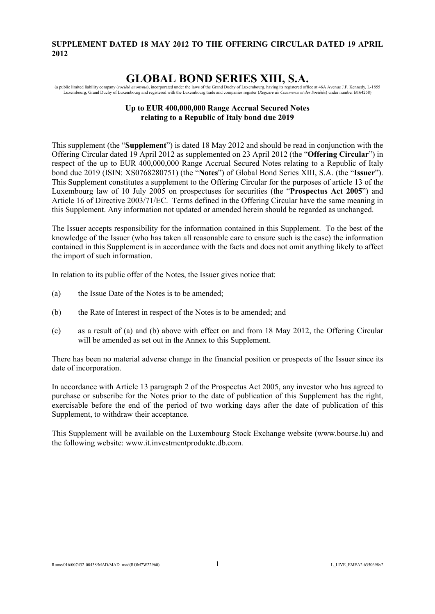## **SUPPLEMENT DATED 18 MAY 2012 TO THE OFFERING CIRCULAR DATED 19 APRIL 2012**

# **GLOBAL BOND SERIES XIII, S.A.**

(a public limited liability company (société anonyme), incorporated under the laws of the Grand Duchy of Luxembourg, having its registered office at 46A Avenue J.F. Kennedy, L-1855 Luxembourg, Grand Duchy of Luxembourg and

## **Up to EUR 400,000,000 Range Accrual Secured Notes relating to a Republic of Italy bond due 2019**

This supplement (the "**Supplement**") is dated 18 May 2012 and should be read in conjunction with the Offering Circular dated 19 April 2012 as supplemented on 23 April 2012 (the "**Offering Circular**") in respect of the up to EUR 400,000,000 Range Accrual Secured Notes relating to a Republic of Italy bond due 2019 (ISIN: XS0768280751) (the "**Notes**") of Global Bond Series XIII, S.A. (the "**Issuer**"). This Supplement constitutes a supplement to the Offering Circular for the purposes of article 13 of the Luxembourg law of 10 July 2005 on prospectuses for securities (the "**Prospectus Act 2005**") and Article 16 of Directive 2003/71/EC. Terms defined in the Offering Circular have the same meaning in this Supplement. Any information not updated or amended herein should be regarded as unchanged.

The Issuer accepts responsibility for the information contained in this Supplement. To the best of the knowledge of the Issuer (who has taken all reasonable care to ensure such is the case) the information contained in this Supplement is in accordance with the facts and does not omit anything likely to affect the import of such information.

In relation to its public offer of the Notes, the Issuer gives notice that:

- (a) the Issue Date of the Notes is to be amended;
- (b) the Rate of Interest in respect of the Notes is to be amended; and
- (c) as a result of (a) and (b) above with effect on and from 18 May 2012, the Offering Circular will be amended as set out in the Annex to this Supplement.

There has been no material adverse change in the financial position or prospects of the Issuer since its date of incorporation.

In accordance with Article 13 paragraph 2 of the Prospectus Act 2005, any investor who has agreed to purchase or subscribe for the Notes prior to the date of publication of this Supplement has the right, exercisable before the end of the period of two working days after the date of publication of this Supplement, to withdraw their acceptance.

This Supplement will be available on the Luxembourg Stock Exchange website ([www.bourse.lu\)](http://www.bourse.lu/) and the following website: [www.it.investmentprodukte.db.com.](http://www.it.investmentprodukte.db.com/)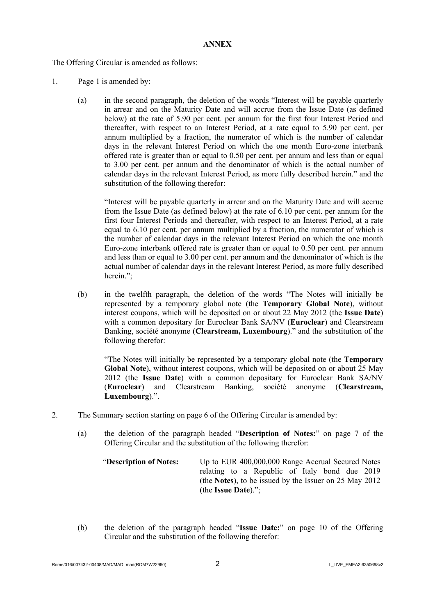#### **ANNEX**

The Offering Circular is amended as follows:

- 1. Page 1 is amended by:
	- (a) in the second paragraph, the deletion of the words "Interest will be payable quarterly in arrear and on the Maturity Date and will accrue from the Issue Date (as defined below) at the rate of 5.90 per cent. per annum for the first four Interest Period and thereafter, with respect to an Interest Period, at a rate equal to 5.90 per cent. per annum multiplied by a fraction, the numerator of which is the number of calendar days in the relevant Interest Period on which the one month Euro-zone interbank offered rate is greater than or equal to 0.50 per cent. per annum and less than or equal to 3.00 per cent. per annum and the denominator of which is the actual number of calendar days in the relevant Interest Period, as more fully described herein." and the substitution of the following therefor:

"Interest will be payable quarterly in arrear and on the Maturity Date and will accrue from the Issue Date (as defined below) at the rate of 6.10 per cent. per annum for the first four Interest Periods and thereafter, with respect to an Interest Period, at a rate equal to 6.10 per cent. per annum multiplied by a fraction, the numerator of which is the number of calendar days in the relevant Interest Period on which the one month Euro-zone interbank offered rate is greater than or equal to 0.50 per cent. per annum and less than or equal to 3.00 per cent. per annum and the denominator of which is the actual number of calendar days in the relevant Interest Period, as more fully described herein.":

(b) in the twelfth paragraph, the deletion of the words "The Notes will initially be represented by a temporary global note (the **Temporary Global Note**), without interest coupons, which will be deposited on or about 22 May 2012 (the **Issue Date**) with a common depositary for Euroclear Bank SA/NV (**Euroclear**) and Clearstream Banking, société anonyme (**Clearstream, Luxembourg**)." and the substitution of the following therefor:

"The Notes will initially be represented by a temporary global note (the **Temporary Global Note**), without interest coupons, which will be deposited on or about 25 May 2012 (the **Issue Date**) with a common depositary for Euroclear Bank SA/NV (**Euroclear**) and Clearstream Banking, société anonyme (**Clearstream, Luxembourg**).".

- 2. The Summary section starting on page 6 of the Offering Circular is amended by:
	- (a) the deletion of the paragraph headed "**Description of Notes:**" on page 7 of the Offering Circular and the substitution of the following therefor:

"**Description of Notes:** Up to EUR 400,000,000 Range Accrual Secured Notes relating to a Republic of Italy bond due 2019 (the **Notes**), to be issued by the Issuer on 25 May 2012 (the **Issue Date**).";

(b) the deletion of the paragraph headed "**Issue Date:**" on page 10 of the Offering Circular and the substitution of the following therefor: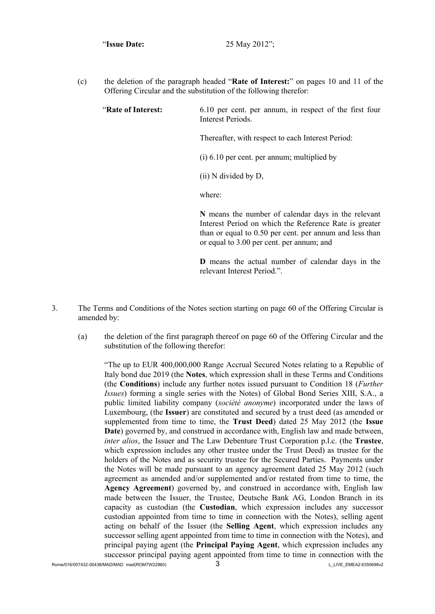(c) the deletion of the paragraph headed "**Rate of Interest:**" on pages 10 and 11 of the Offering Circular and the substitution of the following therefor:

"**Rate of Interest:** 6.10 per cent. per annum, in respect of the first four Interest Periods.

Thereafter, with respect to each Interest Period:

(i) 6.10 per cent. per annum; multiplied by

(ii) N divided by D,

where:

**N** means the number of calendar days in the relevant Interest Period on which the Reference Rate is greater than or equal to 0.50 per cent. per annum and less than or equal to 3.00 per cent. per annum; and

**D** means the actual number of calendar days in the relevant Interest Period."

- 3. The Terms and Conditions of the Notes section starting on page 60 of the Offering Circular is amended by:
	- (a) the deletion of the first paragraph thereof on page 60 of the Offering Circular and the substitution of the following therefor:

"The up to EUR 400,000,000 Range Accrual Secured Notes relating to a Republic of Italy bond due 2019 (the **Notes**, which expression shall in these Terms and Conditions (the **Conditions**) include any further notes issued pursuant to Condition 18 (*Further Issues*) forming a single series with the Notes) of Global Bond Series XIII, S.A., a public limited liability company (*société anonyme*) incorporated under the laws of Luxembourg, (the **Issuer**) are constituted and secured by a trust deed (as amended or supplemented from time to time, the **Trust Deed**) dated 25 May 2012 (the **Issue Date**) governed by, and construed in accordance with, English law and made between, *inter alios*, the Issuer and The Law Debenture Trust Corporation p.l.c. (the **Trustee**, which expression includes any other trustee under the Trust Deed) as trustee for the holders of the Notes and as security trustee for the Secured Parties. Payments under the Notes will be made pursuant to an agency agreement dated 25 May 2012 (such agreement as amended and/or supplemented and/or restated from time to time, the **Agency Agreement**) governed by, and construed in accordance with, English law made between the Issuer, the Trustee, Deutsche Bank AG, London Branch in its capacity as custodian (the **Custodian**, which expression includes any successor custodian appointed from time to time in connection with the Notes), selling agent acting on behalf of the Issuer (the **Selling Agent**, which expression includes any successor selling agent appointed from time to time in connection with the Notes), and principal paying agent (the **Principal Paying Agent**, which expression includes any successor principal paying agent appointed from time to time in connection with the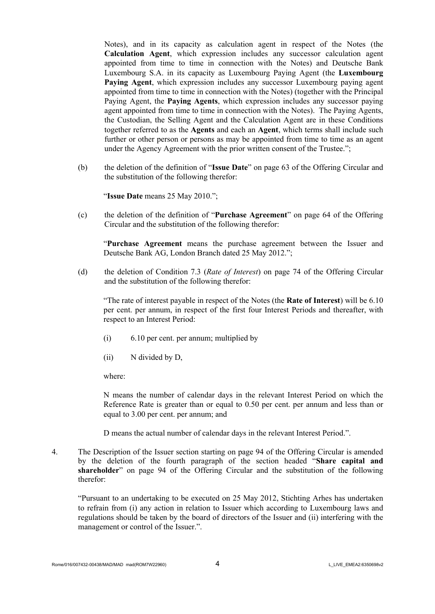Notes), and in its capacity as calculation agent in respect of the Notes (the **Calculation Agent**, which expression includes any successor calculation agent appointed from time to time in connection with the Notes) and Deutsche Bank Luxembourg S.A. in its capacity as Luxembourg Paying Agent (the **Luxembourg Paying Agent**, which expression includes any successor Luxembourg paying agent appointed from time to time in connection with the Notes) (together with the Principal Paying Agent, the **Paying Agents**, which expression includes any successor paying agent appointed from time to time in connection with the Notes). The Paying Agents, the Custodian, the Selling Agent and the Calculation Agent are in these Conditions together referred to as the **Agents** and each an **Agent**, which terms shall include such further or other person or persons as may be appointed from time to time as an agent under the Agency Agreement with the prior written consent of the Trustee.";

(b) the deletion of the definition of "**Issue Date**" on page 63 of the Offering Circular and the substitution of the following therefor:

"**Issue Date** means 25 May 2010.";

(c) the deletion of the definition of "**Purchase Agreement**" on page 64 of the Offering Circular and the substitution of the following therefor:

"**Purchase Agreement** means the purchase agreement between the Issuer and Deutsche Bank AG, London Branch dated 25 May 2012.";

(d) the deletion of Condition 7.3 (*Rate of Interest*) on page 74 of the Offering Circular and the substitution of the following therefor:

"The rate of interest payable in respect of the Notes (the **Rate of Interest**) will be 6.10 per cent. per annum, in respect of the first four Interest Periods and thereafter, with respect to an Interest Period:

- (i) 6.10 per cent. per annum; multiplied by
- (ii) N divided by D,

where:

N means the number of calendar days in the relevant Interest Period on which the Reference Rate is greater than or equal to 0.50 per cent. per annum and less than or equal to 3.00 per cent. per annum; and

D means the actual number of calendar days in the relevant Interest Period.".

4. The Description of the Issuer section starting on page 94 of the Offering Circular is amended by the deletion of the fourth paragraph of the section headed "**Share capital and shareholder**" on page 94 of the Offering Circular and the substitution of the following therefor:

"Pursuant to an undertaking to be executed on 25 May 2012, Stichting Arhes has undertaken to refrain from (i) any action in relation to Issuer which according to Luxembourg laws and regulations should be taken by the board of directors of the Issuer and (ii) interfering with the management or control of the Issuer.".